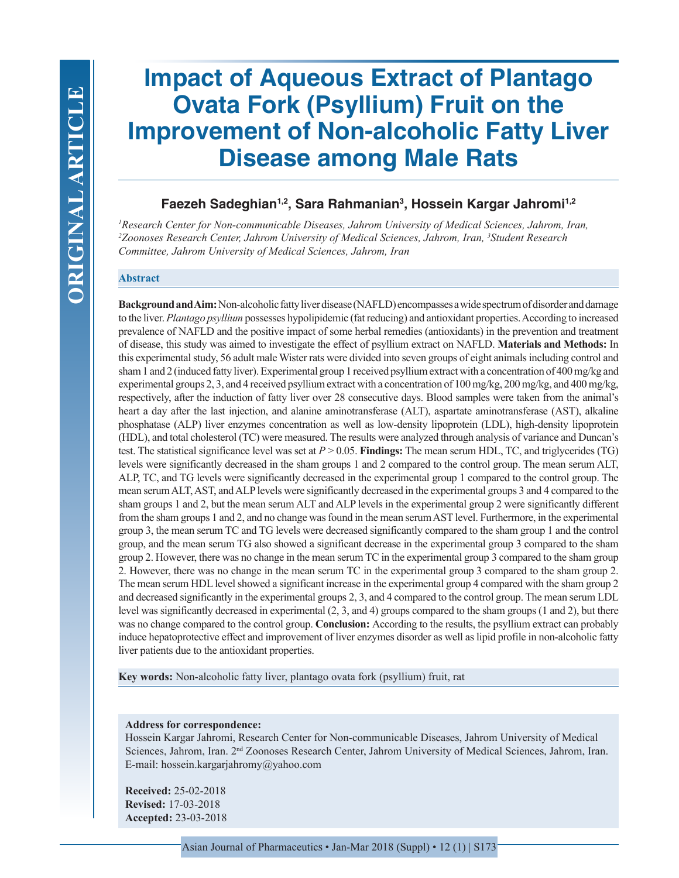# **Impact of Aqueous Extract of Plantago Ovata Fork (Psyllium) Fruit on the Improvement of Non-alcoholic Fatty Liver Disease among Male Rats**

# **Faezeh Sadeghian1,2, Sara Rahmanian3 , Hossein Kargar Jahromi1,2**

*1 Research Center for Non-communicable Diseases, Jahrom University of Medical Sciences, Jahrom, Iran, 2 Zoonoses Research Center, Jahrom University of Medical Sciences, Jahrom, Iran, 3 Student Research Committee, Jahrom University of Medical Sciences, Jahrom, Iran*

#### **Abstract**

**Background and Aim:** Non-alcoholic fatty liver disease (NAFLD) encompasses a wide spectrum of disorder and damage to the liver. *Plantago psyllium* possesses hypolipidemic (fat reducing) and antioxidant properties. According to increased prevalence of NAFLD and the positive impact of some herbal remedies (antioxidants) in the prevention and treatment of disease, this study was aimed to investigate the effect of psyllium extract on NAFLD. **Materials and Methods:** In this experimental study, 56 adult male Wister rats were divided into seven groups of eight animals including control and sham 1 and 2 (induced fatty liver). Experimental group 1 received psyllium extract with a concentration of 400 mg/kg and experimental groups 2, 3, and 4 received psyllium extract with a concentration of 100 mg/kg, 200 mg/kg, and 400 mg/kg, respectively, after the induction of fatty liver over 28 consecutive days. Blood samples were taken from the animal's heart a day after the last injection, and alanine aminotransferase (ALT), aspartate aminotransferase (AST), alkaline phosphatase (ALP) liver enzymes concentration as well as low-density lipoprotein (LDL), high-density lipoprotein (HDL), and total cholesterol (TC) were measured. The results were analyzed through analysis of variance and Duncan's test. The statistical significance level was set at *P* > 0.05. **Findings:** The mean serum HDL, TC, and triglycerides (TG) levels were significantly decreased in the sham groups 1 and 2 compared to the control group. The mean serum ALT, ALP, TC, and TG levels were significantly decreased in the experimental group 1 compared to the control group. The mean serum ALT, AST, and ALP levels were significantly decreased in the experimental groups 3 and 4 compared to the sham groups 1 and 2, but the mean serum ALT and ALP levels in the experimental group 2 were significantly different from the sham groups 1 and 2, and no change was found in the mean serum AST level. Furthermore, in the experimental group 3, the mean serum TC and TG levels were decreased significantly compared to the sham group 1 and the control group, and the mean serum TG also showed a significant decrease in the experimental group 3 compared to the sham group 2. However, there was no change in the mean serum TC in the experimental group 3 compared to the sham group 2. However, there was no change in the mean serum TC in the experimental group 3 compared to the sham group 2. The mean serum HDL level showed a significant increase in the experimental group 4 compared with the sham group 2 and decreased significantly in the experimental groups 2, 3, and 4 compared to the control group. The mean serum LDL level was significantly decreased in experimental (2, 3, and 4) groups compared to the sham groups (1 and 2), but there was no change compared to the control group. **Conclusion:** According to the results, the psyllium extract can probably induce hepatoprotective effect and improvement of liver enzymes disorder as well as lipid profile in non-alcoholic fatty liver patients due to the antioxidant properties.

**Key words:** Non-alcoholic fatty liver, plantago ovata fork (psyllium) fruit, rat

#### **Address for correspondence:**

Hossein Kargar Jahromi, Research Center for Non-communicable Diseases, Jahrom University of Medical Sciences, Jahrom, Iran. 2<sup>nd</sup> Zoonoses Research Center, Jahrom University of Medical Sciences, Jahrom, Iran. E-mail: hossein.kargarjahromy@yahoo.com

**Received:** 25-02-2018 **Revised:** 17-03-2018 **Accepted:** 23-03-2018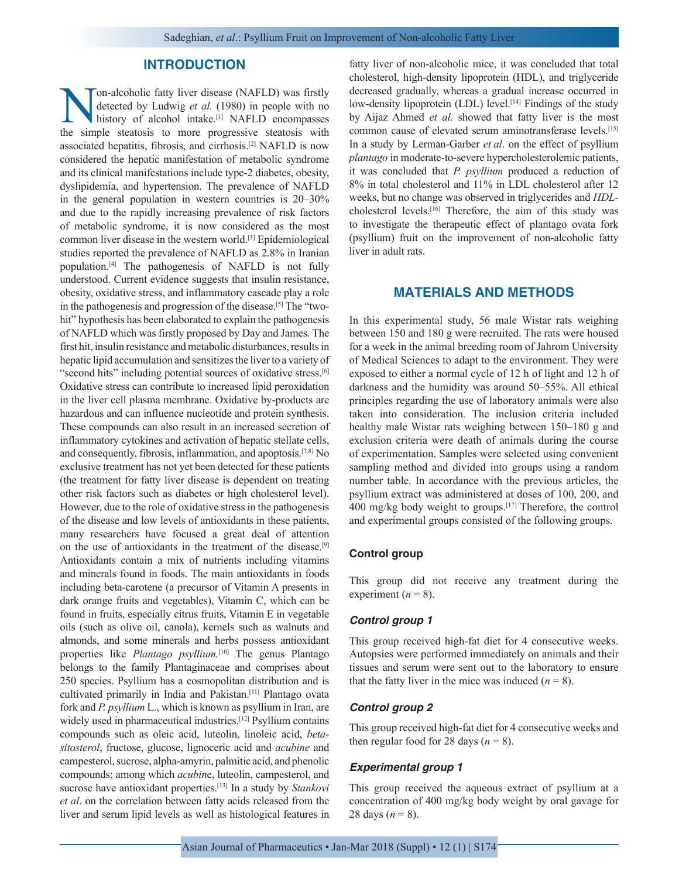## **INTRODUCTION**

**Non-alcoholic fatty liver disease (NAFLD) was firstly detected by Ludwig** *et al.* **(1980) in people with no history of alcohol intake.<sup>[1]</sup> NAFLD encompasses the simple steatosis to more progressive steatosis with** detected by Ludwig *et al.* (1980) in people with no history of alcohol intake.<sup>[1]</sup> NAFLD encompasses the simple steatosis to more progressive steatosis with associated hepatitis, fibrosis, and cirrhosis.[2] NAFLD is now considered the hepatic manifestation of metabolic syndrome and its clinical manifestations include type-2 diabetes, obesity, dyslipidemia, and hypertension. The prevalence of NAFLD in the general population in western countries is 20–30% and due to the rapidly increasing prevalence of risk factors of metabolic syndrome, it is now considered as the most common liver disease in the western world.[3] Epidemiological studies reported the prevalence of NAFLD as 2.8% in Iranian population.[4] The pathogenesis of NAFLD is not fully understood. Current evidence suggests that insulin resistance, obesity, oxidative stress, and inflammatory cascade play a role in the pathogenesis and progression of the disease.[5] The "twohit" hypothesis has been elaborated to explain the pathogenesis of NAFLD which was firstly proposed by Day and James. The first hit, insulin resistance and metabolic disturbances, results in hepatic lipid accumulation and sensitizes the liver to a variety of "second hits" including potential sources of oxidative stress.[6] Oxidative stress can contribute to increased lipid peroxidation in the liver cell plasma membrane. Oxidative by-products are hazardous and can influence nucleotide and protein synthesis. These compounds can also result in an increased secretion of inflammatory cytokines and activation of hepatic stellate cells, and consequently, fibrosis, inflammation, and apoptosis.[7,8] No exclusive treatment has not yet been detected for these patients (the treatment for fatty liver disease is dependent on treating other risk factors such as diabetes or high cholesterol level). However, due to the role of oxidative stress in the pathogenesis of the disease and low levels of antioxidants in these patients, many researchers have focused a great deal of attention on the use of antioxidants in the treatment of the disease.[9] Antioxidants contain a mix of nutrients including vitamins and minerals found in foods. The main antioxidants in foods including beta-carotene (a precursor of Vitamin A presents in dark orange fruits and vegetables), Vitamin C, which can be found in fruits, especially citrus fruits, Vitamin E in vegetable oils (such as olive oil, canola), kernels such as walnuts and almonds, and some minerals and herbs possess antioxidant properties like *Plantago psyllium*.<sup>[10]</sup> The genus Plantago belongs to the family Plantaginaceae and comprises about 250 species. Psyllium has a cosmopolitan distribution and is cultivated primarily in India and Pakistan.[11] Plantago ovata fork and *P. psyllium* L., which is known as psyllium in Iran, are widely used in pharmaceutical industries.<sup>[12]</sup> Psyllium contains compounds such as oleic acid, luteolin, linoleic acid, *betasitosterol*, fructose, glucose, lignoceric acid and *acubine* and campesterol, sucrose, alpha-amyrin, palmitic acid, and phenolic compounds; among which *acubin*e, luteolin, campesterol, and sucrose have antioxidant properties.[13] In a study by *Stankovi et al*. on the correlation between fatty acids released from the liver and serum lipid levels as well as histological features in

fatty liver of non-alcoholic mice, it was concluded that total cholesterol, high-density lipoprotein (HDL), and triglyceride decreased gradually, whereas a gradual increase occurred in low-density lipoprotein (LDL) level.<sup>[14]</sup> Findings of the study by Aijaz Ahmed *et al.* showed that fatty liver is the most common cause of elevated serum aminotransferase levels.[15] In a study by Lerman-Garber *et al*. on the effect of psyllium *plantago* in moderate-to-severe hypercholesterolemic patients, it was concluded that *P. psyllium* produced a reduction of 8% in total cholesterol and 11% in LDL cholesterol after 12 weeks, but no change was observed in triglycerides and *HDL*cholesterol levels.[16] Therefore, the aim of this study was to investigate the therapeutic effect of plantago ovata fork (psyllium) fruit on the improvement of non-alcoholic fatty liver in adult rats.

# **MATERIALS AND METHODS**

In this experimental study, 56 male Wistar rats weighing between 150 and 180 g were recruited. The rats were housed for a week in the animal breeding room of Jahrom University of Medical Sciences to adapt to the environment. They were exposed to either a normal cycle of 12 h of light and 12 h of darkness and the humidity was around 50–55%. All ethical principles regarding the use of laboratory animals were also taken into consideration. The inclusion criteria included healthy male Wistar rats weighing between 150–180 g and exclusion criteria were death of animals during the course of experimentation. Samples were selected using convenient sampling method and divided into groups using a random number table. In accordance with the previous articles, the psyllium extract was administered at doses of 100, 200, and 400 mg/kg body weight to groups.[17] Therefore, the control and experimental groups consisted of the following groups.

#### **Control group**

This group did not receive any treatment during the experiment  $(n = 8)$ .

#### *Control group 1*

This group received high-fat diet for 4 consecutive weeks. Autopsies were performed immediately on animals and their tissues and serum were sent out to the laboratory to ensure that the fatty liver in the mice was induced  $(n = 8)$ .

#### *Control group 2*

This group received high-fat diet for 4 consecutive weeks and then regular food for 28 days  $(n = 8)$ .

#### *Experimental group 1*

This group received the aqueous extract of psyllium at a concentration of 400 mg/kg body weight by oral gavage for 28 days  $(n = 8)$ .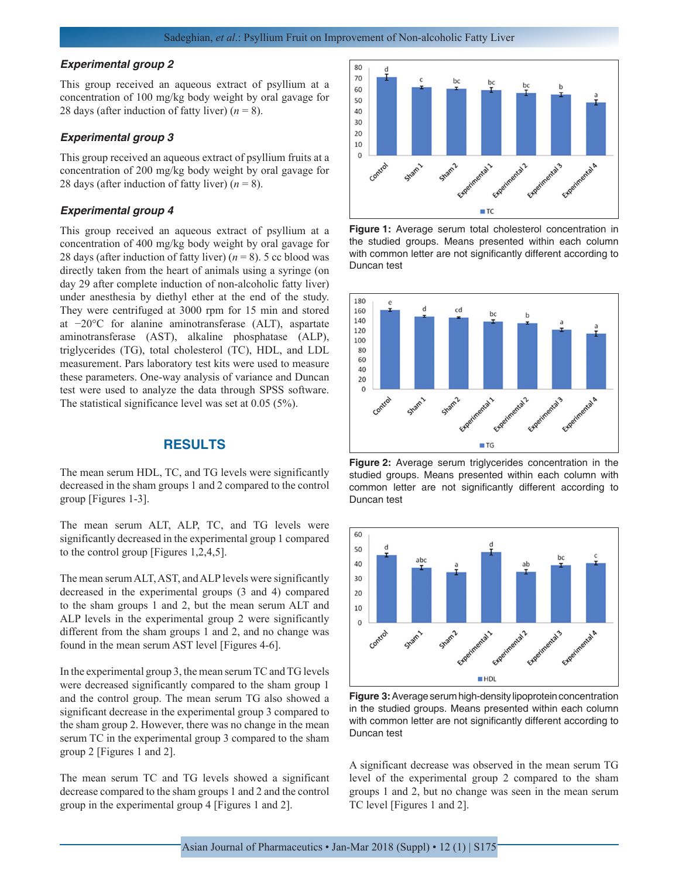#### *Experimental group 2*

This group received an aqueous extract of psyllium at a concentration of 100 mg/kg body weight by oral gavage for 28 days (after induction of fatty liver)  $(n = 8)$ .

#### *Experimental group 3*

This group received an aqueous extract of psyllium fruits at a concentration of 200 mg/kg body weight by oral gavage for 28 days (after induction of fatty liver)  $(n = 8)$ .

#### *Experimental group 4*

This group received an aqueous extract of psyllium at a concentration of 400 mg/kg body weight by oral gavage for 28 days (after induction of fatty liver)  $(n = 8)$ . 5 cc blood was directly taken from the heart of animals using a syringe (on day 29 after complete induction of non-alcoholic fatty liver) under anesthesia by diethyl ether at the end of the study. They were centrifuged at 3000 rpm for 15 min and stored at −20°C for alanine aminotransferase (ALT), aspartate aminotransferase (AST), alkaline phosphatase (ALP), triglycerides (TG), total cholesterol (TC), HDL, and LDL measurement. Pars laboratory test kits were used to measure these parameters. One-way analysis of variance and Duncan test were used to analyze the data through SPSS software. The statistical significance level was set at 0.05 (5%).

# **RESULTS**

The mean serum HDL, TC, and TG levels were significantly decreased in the sham groups 1 and 2 compared to the control group [Figures 1-3].

The mean serum ALT, ALP, TC, and TG levels were significantly decreased in the experimental group 1 compared to the control group [Figures 1,2,4,5].

The mean serum ALT, AST, and ALP levels were significantly decreased in the experimental groups (3 and 4) compared to the sham groups 1 and 2, but the mean serum ALT and ALP levels in the experimental group 2 were significantly different from the sham groups 1 and 2, and no change was found in the mean serum AST level [Figures 4-6].

In the experimental group 3, the mean serum TC and TG levels were decreased significantly compared to the sham group 1 and the control group. The mean serum TG also showed a significant decrease in the experimental group 3 compared to the sham group 2. However, there was no change in the mean serum TC in the experimental group 3 compared to the sham group 2 [Figures 1 and 2].

The mean serum TC and TG levels showed a significant decrease compared to the sham groups 1 and 2 and the control group in the experimental group 4 [Figures 1 and 2].



**Figure 1:** Average serum total cholesterol concentration in the studied groups. Means presented within each column with common letter are not significantly different according to Duncan test



**Figure 2:** Average serum triglycerides concentration in the studied groups. Means presented within each column with common letter are not significantly different according to Duncan test



**Figure 3:** Average serum high-density lipoprotein concentration in the studied groups. Means presented within each column with common letter are not significantly different according to Duncan test

A significant decrease was observed in the mean serum TG level of the experimental group 2 compared to the sham groups 1 and 2, but no change was seen in the mean serum TC level [Figures 1 and 2].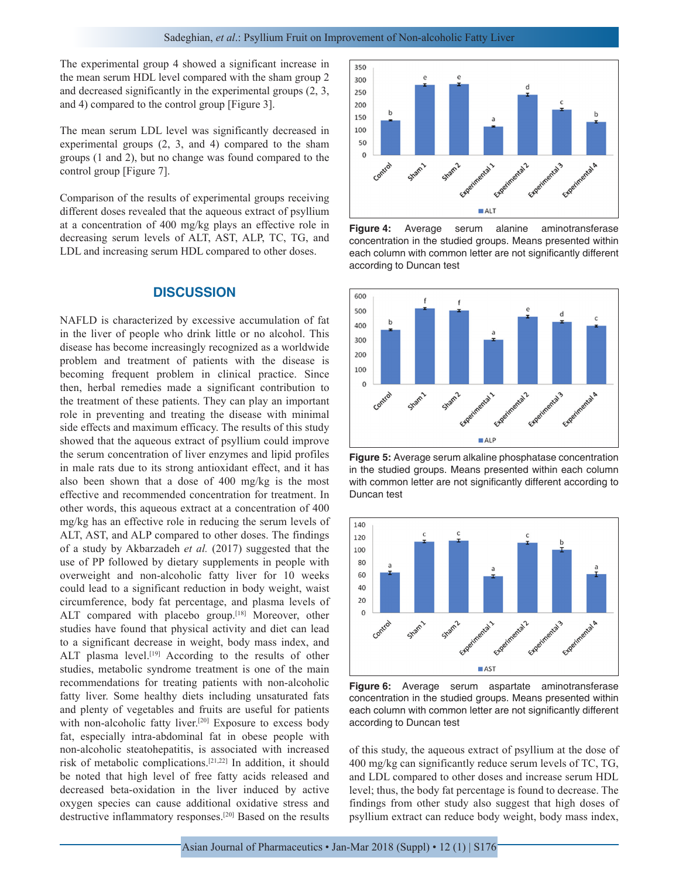The experimental group 4 showed a significant increase in the mean serum HDL level compared with the sham group 2 and decreased significantly in the experimental groups (2, 3, and 4) compared to the control group [Figure 3].

The mean serum LDL level was significantly decreased in experimental groups (2, 3, and 4) compared to the sham groups (1 and 2), but no change was found compared to the control group [Figure 7].

Comparison of the results of experimental groups receiving different doses revealed that the aqueous extract of psyllium at a concentration of 400 mg/kg plays an effective role in decreasing serum levels of ALT, AST, ALP, TC, TG, and LDL and increasing serum HDL compared to other doses.

#### **DISCUSSION**

NAFLD is characterized by excessive accumulation of fat in the liver of people who drink little or no alcohol. This disease has become increasingly recognized as a worldwide problem and treatment of patients with the disease is becoming frequent problem in clinical practice. Since then, herbal remedies made a significant contribution to the treatment of these patients. They can play an important role in preventing and treating the disease with minimal side effects and maximum efficacy. The results of this study showed that the aqueous extract of psyllium could improve the serum concentration of liver enzymes and lipid profiles in male rats due to its strong antioxidant effect, and it has also been shown that a dose of 400 mg/kg is the most effective and recommended concentration for treatment. In other words, this aqueous extract at a concentration of 400 mg/kg has an effective role in reducing the serum levels of ALT, AST, and ALP compared to other doses. The findings of a study by Akbarzadeh *et al.* (2017) suggested that the use of PP followed by dietary supplements in people with overweight and non-alcoholic fatty liver for 10 weeks could lead to a significant reduction in body weight, waist circumference, body fat percentage, and plasma levels of ALT compared with placebo group.<sup>[18]</sup> Moreover, other studies have found that physical activity and diet can lead to a significant decrease in weight, body mass index, and ALT plasma level.<sup>[19]</sup> According to the results of other studies, metabolic syndrome treatment is one of the main recommendations for treating patients with non-alcoholic fatty liver. Some healthy diets including unsaturated fats and plenty of vegetables and fruits are useful for patients with non-alcoholic fatty liver.<sup>[20]</sup> Exposure to excess body fat, especially intra-abdominal fat in obese people with non-alcoholic steatohepatitis, is associated with increased risk of metabolic complications.[21,22] In addition, it should be noted that high level of free fatty acids released and decreased beta-oxidation in the liver induced by active oxygen species can cause additional oxidative stress and destructive inflammatory responses.[20] Based on the results



**Figure 4:** Average serum alanine aminotransferase concentration in the studied groups. Means presented within each column with common letter are not significantly different according to Duncan test



**Figure 5:** Average serum alkaline phosphatase concentration in the studied groups. Means presented within each column with common letter are not significantly different according to Duncan test



**Figure 6:** Average serum aspartate aminotransferase concentration in the studied groups. Means presented within each column with common letter are not significantly different according to Duncan test

of this study, the aqueous extract of psyllium at the dose of 400 mg/kg can significantly reduce serum levels of TC, TG, and LDL compared to other doses and increase serum HDL level; thus, the body fat percentage is found to decrease. The findings from other study also suggest that high doses of psyllium extract can reduce body weight, body mass index,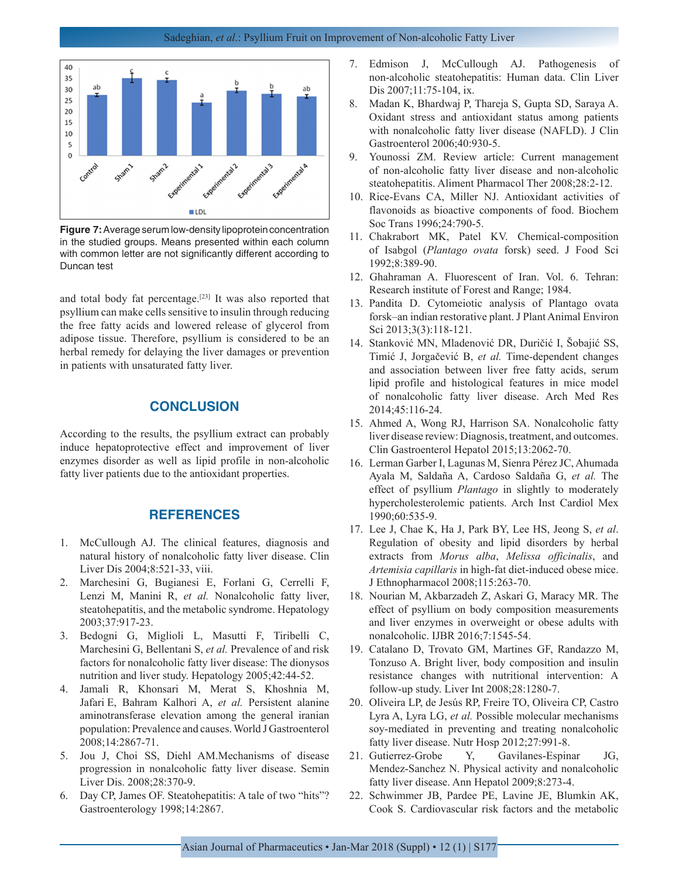

**Figure 7:** Average serum low-density lipoprotein concentration in the studied groups. Means presented within each column with common letter are not significantly different according to Duncan test

and total body fat percentage.[23] It was also reported that psyllium can make cells sensitive to insulin through reducing the free fatty acids and lowered release of glycerol from adipose tissue. Therefore, psyllium is considered to be an herbal remedy for delaying the liver damages or prevention in patients with unsaturated fatty liver.

## **CONCLUSION**

According to the results, the psyllium extract can probably induce hepatoprotective effect and improvement of liver enzymes disorder as well as lipid profile in non-alcoholic fatty liver patients due to the antioxidant properties.

# **REFERENCES**

- 1. McCullough AJ. The clinical features, diagnosis and natural history of nonalcoholic fatty liver disease. Clin Liver Dis 2004;8:521-33, viii.
- 2. Marchesini G, Bugianesi E, Forlani G, Cerrelli F, Lenzi M, Manini R, *et al.* Nonalcoholic fatty liver, steatohepatitis, and the metabolic syndrome. Hepatology 2003;37:917-23.
- 3. Bedogni G, Miglioli L, Masutti F, Tiribelli C, Marchesini G, Bellentani S, *et al.* Prevalence of and risk factors for nonalcoholic fatty liver disease: The dionysos nutrition and liver study. Hepatology 2005;42:44-52.
- 4. Jamali R, Khonsari M, Merat S, Khoshnia M, Jafari E, Bahram Kalhori A, *et al.* Persistent alanine aminotransferase elevation among the general iranian population: Prevalence and causes. World J Gastroenterol 2008;14:2867-71.
- 5. Jou J, Choi SS, Diehl AM.Mechanisms of disease progression in nonalcoholic fatty liver disease. Semin Liver Dis. 2008;28:370-9.
- 6. Day CP, James OF. Steatohepatitis: A tale of two "hits"? Gastroenterology 1998;14:2867.
- 7. Edmison J, McCullough AJ. Pathogenesis of non-alcoholic steatohepatitis: Human data. Clin Liver Dis 2007;11:75-104, ix.
- 8. Madan K, Bhardwaj P, Thareja S, Gupta SD, Saraya A. Oxidant stress and antioxidant status among patients with nonalcoholic fatty liver disease (NAFLD). J Clin Gastroenterol 2006;40:930-5.
- 9. Younossi ZM. Review article: Current management of non-alcoholic fatty liver disease and non-alcoholic steatohepatitis. Aliment Pharmacol Ther 2008;28:2-12.
- 10. Rice-Evans CA, Miller NJ. Antioxidant activities of flavonoids as bioactive components of food. Biochem Soc Trans 1996;24:790-5.
- 11. Chakrabort MK, Patel KV. Chemical-composition of Isabgol (*Plantago ovata* forsk) seed. J Food Sci 1992;8:389-90.
- 12. Ghahraman A. Fluorescent of Iran. Vol. 6. Tehran: Research institute of Forest and Range; 1984.
- 13. Pandita D. Cytomeiotic analysis of Plantago ovata forsk–an indian restorative plant. J Plant Animal Environ Sci 2013;3(3):118-121.
- 14. Stanković MN, Mladenović DR, Duričić I, Šobajić SS, Timić J, Jorgačević B, *et al.* Time-dependent changes and association between liver free fatty acids, serum lipid profile and histological features in mice model of nonalcoholic fatty liver disease. Arch Med Res 2014;45:116-24.
- 15. Ahmed A, Wong RJ, Harrison SA. Nonalcoholic fatty liver disease review: Diagnosis, treatment, and outcomes. Clin Gastroenterol Hepatol 2015;13:2062-70.
- 16. Lerman Garber I, Lagunas M, Sienra Pérez JC, Ahumada Ayala M, Saldaña A, Cardoso Saldaña G, *et al.* The effect of psyllium *Plantago* in slightly to moderately hypercholesterolemic patients. Arch Inst Cardiol Mex 1990;60:535-9.
- 17. Lee J, Chae K, Ha J, Park BY, Lee HS, Jeong S, *et al*. Regulation of obesity and lipid disorders by herbal extracts from *Morus alba*, *Melissa officinalis*, and *Artemisia capillaris* in high-fat diet-induced obese mice. J Ethnopharmacol 2008;115:263-70.
- 18. Nourian M, Akbarzadeh Z, Askari G, Maracy MR. The effect of psyllium on body composition measurements and liver enzymes in overweight or obese adults with nonalcoholic. IJBR 2016;7:1545-54.
- 19. Catalano D, Trovato GM, Martines GF, Randazzo M, Tonzuso A. Bright liver, body composition and insulin resistance changes with nutritional intervention: A follow-up study. Liver Int 2008;28:1280-7.
- 20. Oliveira LP, de Jesús RP, Freire TO, Oliveira CP, Castro Lyra A, Lyra LG, *et al.* Possible molecular mechanisms soy-mediated in preventing and treating nonalcoholic fatty liver disease. Nutr Hosp 2012;27:991-8.
- 21. Gutierrez-Grobe Y, Gavilanes-Espinar JG, Mendez-Sanchez N. Physical activity and nonalcoholic fatty liver disease. Ann Hepatol 2009;8:273-4.
- 22. Schwimmer JB, Pardee PE, Lavine JE, Blumkin AK, Cook S. Cardiovascular risk factors and the metabolic